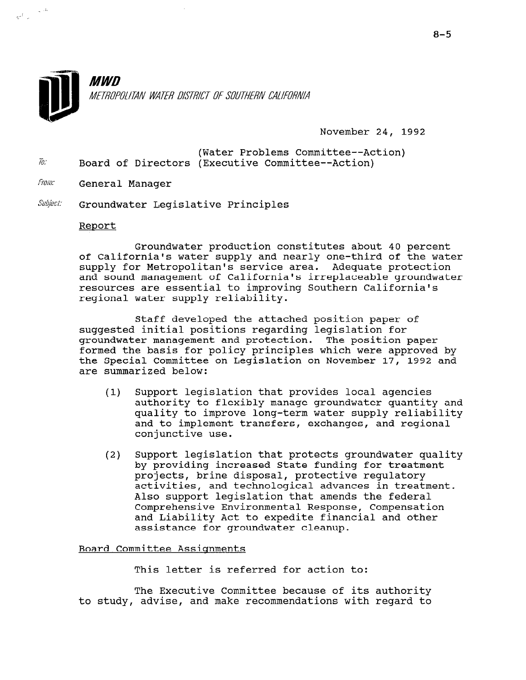

November 24, 1992

- (Water Problems Committee--Action)  $\bar{w}$  Board of Directors (Executive Committee--Action)
- From: General Manager

 $\label{eq:zeta} \left. \frac{1}{\gamma^2} \right|_{\gamma=0} = \frac{1}{\gamma^2} \frac{d\gamma}{d\gamma}.$ 

 $\textit{Subject:}$  Groundwater Legislative Principles

#### Report

Groundwater production constitutes about 40 percent of California's water supply and nearly one-third of the water supply for Metropolitan's service area. Adequate protection and sound management of California's irreplaceable groundwater resources are essential to improving Southern California's regional water supply reliability.

Staff developed the attached position paper of suggested initial positions regarding legislation for groundwater management and protection. The position paper formed the basis for policy principles which were approved by the Special Committee on Legislation on November 17, 1992 and are summarized below:

- (1) Support legislation that provides local agencies authority to flexibly manage groundwater quantity and quality to improve long-term water supply reliability and to implement transfers, exchanges, and regional conjunctive use.
- (2) Support legislation that protects groundwater quality by providing increased State funding for treatment providing increased beate runding for the projects, brine disposar, protective regulatory activities, and technological advances in treatment.<br>Also support legislation that amends the federal Comprehensive Environmental Response, Compensation comprenensive Environmental Response, compensati<br>end Iiability Let to expedite financial and other and fiability ACC to expedite find

#### Board Committee Assiqnments

This letter is referred for action to:

 $T$  Executive Committee because of its authority of its authority of its authority of its authority of its authority of its authority of its authority of its authority of its authority of its authority of its authority of the Executive Committee because of its authority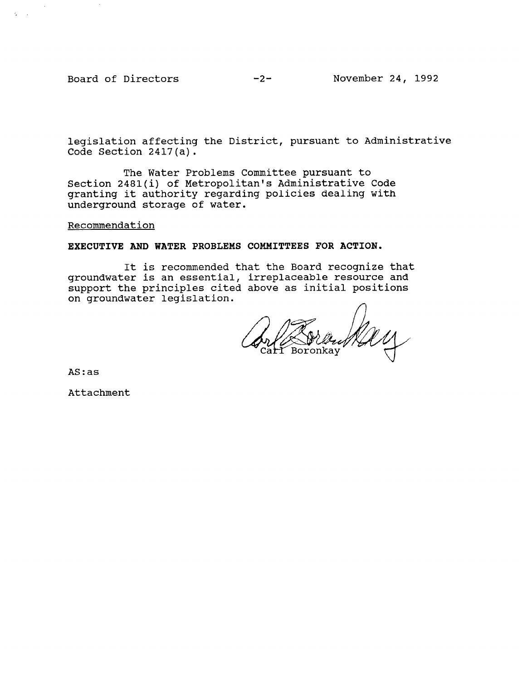Board of Directors -2- November 24, 1992

 $\zeta = \zeta$ 

legislation affecting the District, pursuant to Administrative Code Section 2417(a).

The Water Problems Committee pursuant to Section 2481(i) of Metropolitan's Administrative Code granting it authority regarding policies dealing with underground storage of water.

## Recommendation

EXECUTIVE AND WATER PROBLEMS COMMITTEES FOR ACTION.

It is recommended that the Board recognize that groundwater is an essential, irreplaceable resource and support the principles cited above as initial positions on groundwater legislation.

 $\mathbb{Z} \mathbb{Z}$ 

AS:as

Attachment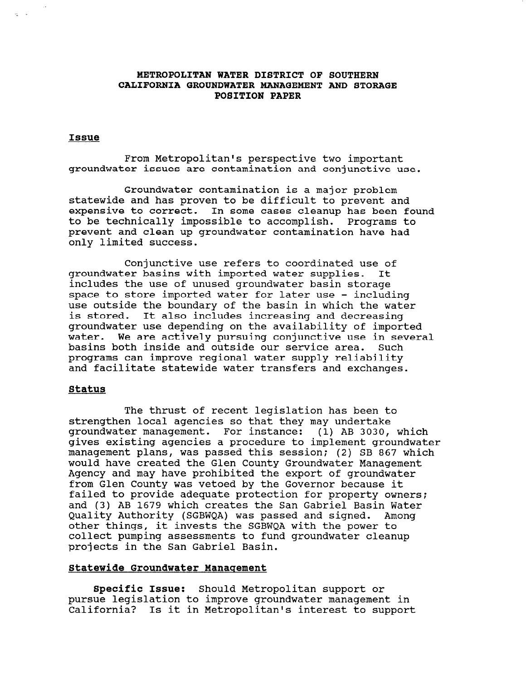# METROPOLITAN WATER DISTRICT OF SOUTHERN CALIFORNIA GROUNDWATER MANAGEMENT AND STORAGE POSITION PAPER

#### Issue

From Metropolitan's perspective two important groundwater issues are contamination and conjunctive use.

Groundwater contamination is a major problem statewide and has proven to be difficult to prevent and expensive to correct. In some cases cleanup has been found to be technically impossible to accomplish. Programs to prevent and clean up groundwater contamination have had only limited success.

Conjunctive use refers to coordinated use of groundwater basins with imported water supplies. It includes the use of unused groundwater basin storage space to store imported water for later use - including use outside the boundary of the basin in which the water is stored. It also includes increasing and decreasing groundwater use depending on the availability of imported water. We are actively pursuing conjunctive use in several basins both inside and outside our service area. Such programs can improve regional water supply reliability and facilitate statewide water transfers and exchanges.

#### Status

The thrust of recent legislation has been to strengthen local agencies so that they may undertake groundwater management. For instance: (1) AB 3030, which gives existing agencies a procedure to implement groundwater management plans, was passed this session; (2) SB 867 which management plans, was passed this session, (2) SD 607 will would have created the sien county sroundwater management Agency and may have prohibited the export of groundwater<br>from Glen County was vetoed by the Governor because it failed to provide adequate protection for property concrete and (3) AB 1679 which creates the San Gabriel Basin Water and (3) AB 1679 which creates the San Gabriel Basin Water<br>Quality Authority (SGBWQA) was passed and signed. Among other things, it invests the SGBWQA with the power to other things, it invests the SGBWQA with the power to collect pumping assessments to fund groundwater cleanup projects in the San Gabriel Basin.

## Statewide Groundwater Manaqement

 $\sigma$  is the  $\sigma$  is the support of  $\sigma$  is the support of  $\sigma$  is the support of  $\sigma$ **specific issue:** Should Metropolitan support or pursue legislation to improve groundwater management in<br>California? Is it in Metropolitan's interest to support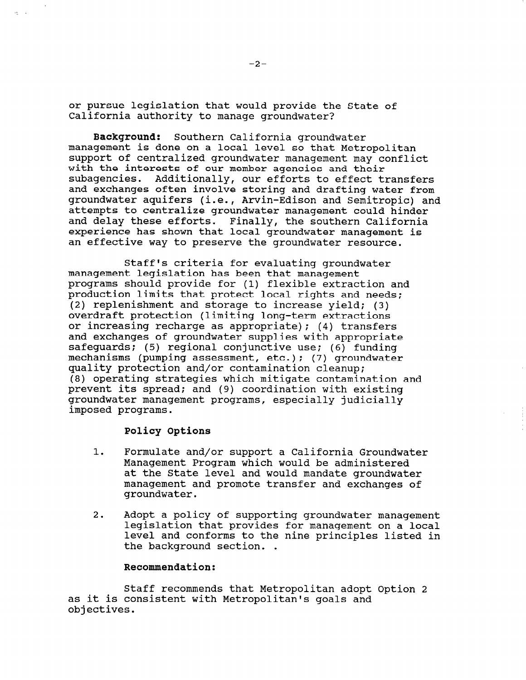or pursue legislation that would provide the State of California authority to manage groundwater?

Background: Southern California groundwater management is done on a local level so that Metropolitan support of centralized groundwater management may conflict with the interests of our member agencies and their subagencies. Additionally, our efforts to effect transfers and exchanges often involve storing and drafting water from groundwater aquifers (i.e., Arvin-Edison and Semitropic) and attempts to centralize groundwater management could hinder and delay these efforts. Finally, the southern California experience has shown that local groundwater management is an effective way to preserve the groundwater resource.

Staff's criteria for evaluating groundwater management legislation has been that management programs should provide for (1) flexible extraction and production limits that protect local rights and needs; (2) replenishment and storage to increase yield; (3) overdraft protection (limiting long-term extractions or increasing recharge as appropriate); (4) transfers and exchanges of groundwater supplies with appropriate safequards; (5) regional conjunctive use; (6) funding mechanisms (pumping assessment, etc.); (7) groundwater quality protection and/or contamination cleanup; (8) operating strategies which mitigate contamination and prevent its spread; and (9) coordination with existing groundwater management programs, especially judicially imposed programs.

## Policy Options

 $\alpha = 1$ 

- 1. Formulate and/or support a California Groundwater Management Program which would be administered at the State level and would mandate groundwater management and promote transfer and exchanges of groundwater.
- $2.$  Adopt a policy of supporting groundwater  $\alpha$ ndopt a portey or supporting groundwater management<br>legislation that weekless for management legislation that provides for management on a local level and conforms to the nine principles listed in the background section. .

# Recommendation:

 $\sigma$  to  $\sigma$  recommends that Metropolitan adopt  $\sigma$  that  $\sigma$ stail recommends that Metropolitan adopt as it is consistent with Metropolitan's goals and<br>objectives.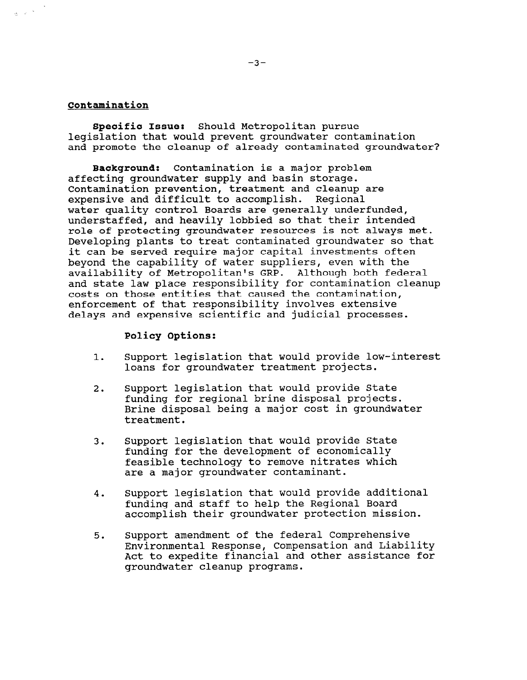# Contamination

 $\frac{1}{2} \left( \left( \omega \right)^{-\frac{1}{2}} \right)^{-\frac{1}{2}}$ 

Specific Issue: Should Metropolitan pursue legislation that would prevent groundwater contamination and promote the cleanup of already contaminated groundwater?

Background: Contamination is a major problem affecting groundwater supply and basin storage. Contamination prevention, treatment and cleanup are expensive and difficult to accomplish. Regional water quality control Boards are generally underfunded, understaffed, and heavily lobbied so that their intended role of protecting groundwater resources is not always met. Developing plants to treat contaminated groundwater so that it can be served require major capital investments often beyond the capability of water suppliers, even with the availability of Metropolitan's GRP. Although both federal and state law place responsibility for contamination cleanup costs on those entities that caused the contamination, enforcement of that responsibility involves extensive delays and expensive scientific and judicial processes.

#### Policy Options:

- 1. Support legislation that would provide low-interest loans for groundwater treatment projects.
- 2. Support legislation that would provide State funding for regional brine disposal projects. Brine disposal being a major cost in groundwater treatment.
- 3. Support legislation that would provide State funding for the development of economically feasible technology to remove nitrates which are a major groundwater contaminant.
- 4. Support legislation that would provide additional funding and staff to help the Regional Board accomplish their groundwater protection mission.
- 5. Support amendment of the federal Comprehensive Environmental Response, Compensation and Liability Act to expedite financial and other assistance for groundwater cleanup programs.